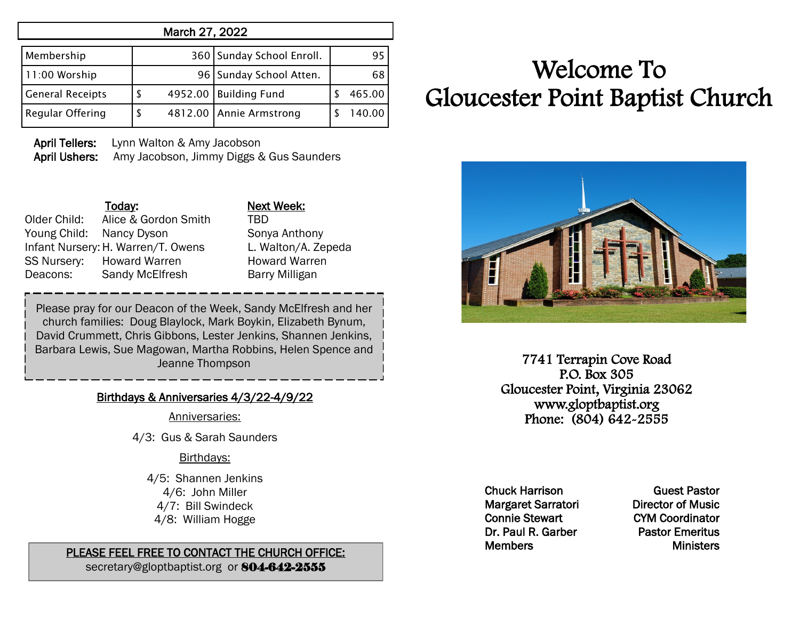| March 27, 2022          |   |         |                           |  |        |  |  |  |
|-------------------------|---|---------|---------------------------|--|--------|--|--|--|
| Membership              |   |         | 360 Sunday School Enroll. |  | 95     |  |  |  |
| 11:00 Worship           |   |         | 96   Sunday School Atten. |  | 68     |  |  |  |
| <b>General Receipts</b> | S | 4952.00 | <b>Building Fund</b>      |  | 465.00 |  |  |  |
| Regular Offering        | S |         | 4812.00 Annie Armstrong   |  | 140.00 |  |  |  |

 April Tellers: Lynn Walton & Amy Jacobson April Ushers: Amy Jacobson, Jimmy Diggs & Gus Saunders

Today: Next Week: Older Child: Alice & Gordon Smith TBD Young Child: Nancy Dyson Sonya Anthony Infant Nursery:H. Warren/T. Owens L. Walton/A. Zepeda SS Nursery: Howard Warren Howard Warren Deacons: Sandy McElfresh Barry Milligan

Please pray for our Deacon of the Week, Sandy McElfresh and her church families: Doug Blaylock, Mark Boykin, Elizabeth Bynum, David Crummett, Chris Gibbons, Lester Jenkins, Shannen Jenkins, Barbara Lewis, Sue Magowan, Martha Robbins, Helen Spence and Jeanne Thompson

## Birthdays & Anniversaries 4/3/22-4/9/22

Anniversaries:

4/3: Gus & Sarah Saunders

## Birthdays:

4/5: Shannen Jenkins 4/6: John Miller 4/7: Bill Swindeck 4/8: William Hogge

## PLEASE FEEL FREE TO CONTACT THE CHURCH OFFICE:

secretary@gloptbaptist.org or 804-642-2555

## Welcome To Gloucester Point Baptist Church



7741 Terrapin Cove Road P.O. Box 305 Gloucester Point, Virginia 23062 www.gloptbaptist.org Phone: (804) 642-2555

Chuck Harrison Margaret Sarratori Connie Stewart Dr. Paul R. Garber Members

Guest Pastor Director of Music CYM Coordinator Pastor Emeritus **Ministers**